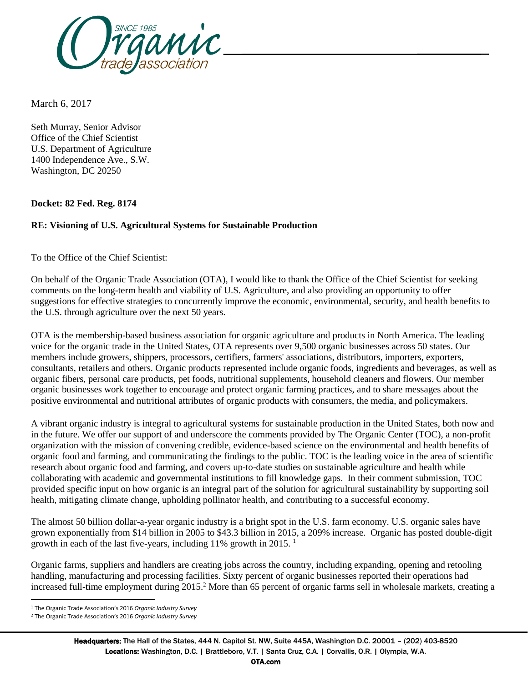

March 6, 2017

Seth Murray, Senior Advisor Office of the Chief Scientist U.S. Department of Agriculture 1400 Independence Ave., S.W. Washington, DC 20250

**Docket: 82 Fed. Reg. 8174**

## **RE: Visioning of U.S. Agricultural Systems for Sustainable Production**

To the Office of the Chief Scientist:

On behalf of the Organic Trade Association (OTA), I would like to thank the Office of the Chief Scientist for seeking comments on the long-term health and viability of U.S. Agriculture, and also providing an opportunity to offer suggestions for effective strategies to concurrently improve the economic, environmental, security, and health benefits to the U.S. through agriculture over the next 50 years.

OTA is the membership-based business association for organic agriculture and products in North America. The leading voice for the organic trade in the United States, OTA represents over 9,500 organic businesses across 50 states. Our members include growers, shippers, processors, certifiers, farmers' associations, distributors, importers, exporters, consultants, retailers and others. Organic products represented include organic foods, ingredients and beverages, as well as organic fibers, personal care products, pet foods, nutritional supplements, household cleaners and flowers. Our member organic businesses work together to encourage and protect organic farming practices, and to share messages about the positive environmental and nutritional attributes of organic products with consumers, the media, and policymakers.

A vibrant organic industry is integral to agricultural systems for sustainable production in the United States, both now and in the future. We offer our support of and underscore the comments provided by The Organic Center (TOC), a non-profit organization with the mission of convening credible, evidence-based science on the environmental and health benefits of organic food and farming, and communicating the findings to the public. TOC is the leading voice in the area of scientific research about organic food and farming, and covers up-to-date studies on sustainable agriculture and health while collaborating with academic and governmental institutions to fill knowledge gaps. In their comment submission, TOC provided specific input on how organic is an integral part of the solution for agricultural sustainability by supporting soil health, mitigating climate change, upholding pollinator health, and contributing to a successful economy.

The almost 50 billion dollar-a-year organic industry is a bright spot in the U.S. farm economy. U.S. organic sales have grown exponentially from \$14 billion in 2005 to \$43.3 billion in 2015, a 209% increase. Organic has posted double-digit growth in each of the last five-years, including 11% growth in 2015. <sup>1</sup>

Organic farms, suppliers and handlers are creating jobs across the country, including expanding, opening and retooling handling, manufacturing and processing facilities. Sixty percent of organic businesses reported their operations had increased full-time employment during 2015. <sup>2</sup> More than 65 percent of organic farms sell in wholesale markets, creating a

 $\overline{a}$ 

<sup>1</sup> The Organic Trade Association's 2016 *Organic Industry Survey*

<sup>2</sup> The Organic Trade Association's 2016 *Organic Industry Survey*